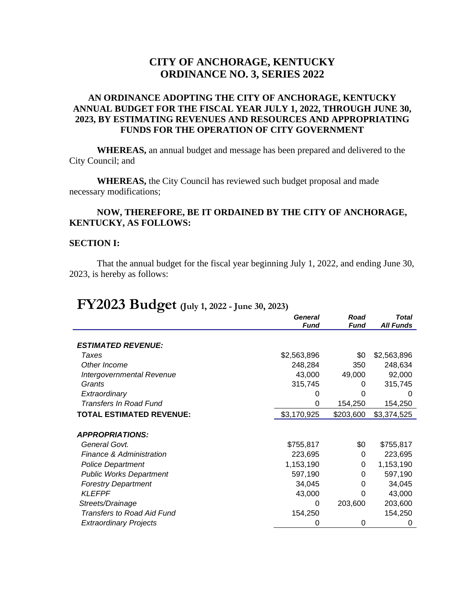# **CITY OF ANCHORAGE, KENTUCKY ORDINANCE NO. 3, SERIES 2022**

## **AN ORDINANCE ADOPTING THE CITY OF ANCHORAGE, KENTUCKY ANNUAL BUDGET FOR THE FISCAL YEAR JULY 1, 2022, THROUGH JUNE 30, 2023, BY ESTIMATING REVENUES AND RESOURCES AND APPROPRIATING FUNDS FOR THE OPERATION OF CITY GOVERNMENT**

**WHEREAS,** an annual budget and message has been prepared and delivered to the City Council; and

**WHEREAS,** the City Council has reviewed such budget proposal and made necessary modifications;

## **NOW, THEREFORE, BE IT ORDAINED BY THE CITY OF ANCHORAGE, KENTUCKY, AS FOLLOWS:**

#### **SECTION I:**

That the annual budget for the fiscal year beginning July 1, 2022, and ending June 30, 2023, is hereby as follows:

# **FY2023 Budget (July 1, 2022 - June 30, 2023)**

|                                     | <b>General</b> | Road      | Total            |
|-------------------------------------|----------------|-----------|------------------|
|                                     | <b>Fund</b>    | Fund      | <b>All Funds</b> |
| <b>ESTIMATED REVENUE:</b>           |                |           |                  |
| Taxes                               | \$2,563,896    | \$0       | \$2,563,896      |
| Other Income                        | 248,284        | 350       | 248,634          |
| Intergovernmental Revenue           | 43,000         | 49,000    | 92,000           |
| Grants                              | 315,745        | 0         | 315,745          |
| Extraordinary                       |                |           | $\mathbf{0}$     |
| <b>Transfers In Road Fund</b>       | 0              | 154,250   | 154,250          |
| <b>TOTAL ESTIMATED REVENUE:</b>     | \$3,170,925    | \$203,600 | \$3,374,525      |
|                                     |                |           |                  |
| <b>APPROPRIATIONS:</b>              |                |           |                  |
| General Govt.                       | \$755,817      | \$0       | \$755,817        |
| <b>Finance &amp; Administration</b> | 223,695        | 0         | 223,695          |
| <b>Police Department</b>            | 1,153,190      | 0         | 1,153,190        |
| <b>Public Works Department</b>      | 597,190        | 0         | 597,190          |
| <b>Forestry Department</b>          | 34,045         | 0         | 34,045           |
| <b>KLEFPF</b>                       | 43,000         | 0         | 43,000           |
| Streets/Drainage                    | 0              | 203,600   | 203,600          |
| <b>Transfers to Road Aid Fund</b>   | 154,250        |           | 154,250          |
| <b>Extraordinary Projects</b>       | 0              | 0         | 0                |